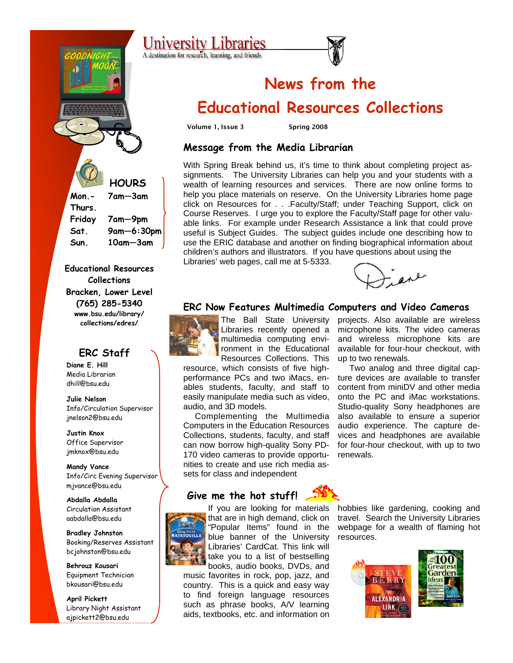

**Educational Resources Collections Bracken, Lower Level (765) 285-5340 www.bsu.edu/library/ collections/edres/** 

## **ERC Staff**

**Diane E. Hill**  Media Librarian dhill@bsu.edu

**Julie Nelson**  Info/Circulation Supervisor jnelson2@bsu.edu

**Justin Knox** Office Supervisor jmknox@bsu.edu

**Mandy Vance**  Info/Circ Evening Supervisor mjvance@bsu.edu

**Abdalla Abdalla**  Circulation Assistant aabdalla@bsu.edu

**Bradley Johnston**  Booking/Reserves Assistant bcjohnston@bsu.edu

**Behrouz Kousari**  Equipment Technician bkousari@bsu.edu

**April Pickett**  Library Night Assistant ajpickett2@bsu.edu

# **News from the**

## **Educational Resources Collections**

Volume 1, Issue 3 Spring 2008

## **Message from the Media Librarian**

With Spring Break behind us, it's time to think about completing project assignments. The University Libraries can help you and your students with a wealth of learning resources and services. There are now online forms to help you place materials on reserve. On the University Libraries home page click on Resources for . . .Faculty/Staff; under Teaching Support, click on Course Reserves. I urge you to explore the Faculty/Staff page for other valuable links. For example under Research Assistance a link that could prove useful is Subject Guides. The subject guides include one describing how to use the ERIC database and another on finding biographical information about children's authors and illustrators. If you have questions about using the

Libraries' web pages, call me at 5-5333.



up to two renewals.

projects. Also available are wireless microphone kits. The video cameras and wireless microphone kits are available for four-hour checkout, with

 Two analog and three digital capture devices are available to transfer content from miniDV and other media onto the PC and iMac workstations. Studio-quality Sony headphones are also available to ensure a superior audio experience. The capture devices and headphones are available for four-hour checkout, with up to two

### **ERC Now Features Multimedia Computers and Video Cameras**



The Ball State University Libraries recently opened a multimedia computing environment in the Educational Resources Collections. This resource, which consists of five high-

performance PCs and two iMacs, enables students, faculty, and staff to easily manipulate media such as video, audio, and 3D models.

 Complementing the Multimedia Computers in the Education Resources Collections, students, faculty, and staff can now borrow high-quality Sony PD-170 video cameras to provide opportunities to create and use rich media assets for class and independent

music favorites in rock, pop, jazz, and country. This is a quick and easy way to find foreign language resources such as phrase books, A/V learning aids, textbooks, etc. and information on

### **Give me the hot stuff!**



renewals.

hobbies like gardening, cooking and travel. Search the University Libraries webpage for a wealth of flaming hot resources.